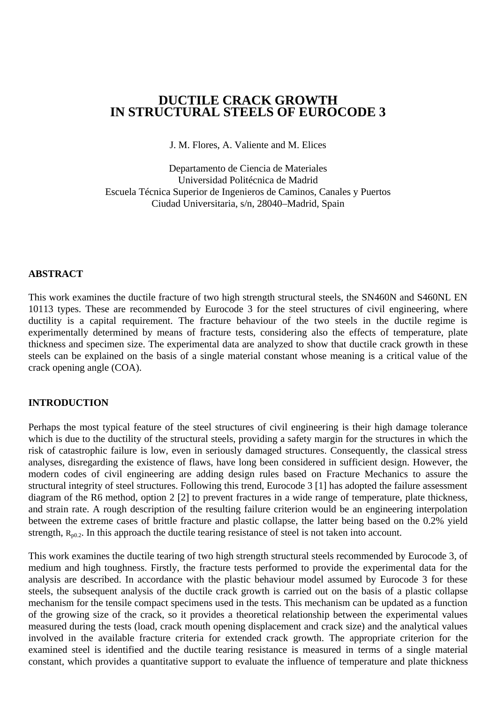# **DUCTILE CRACK GROWTH IN STRUCTURAL STEELS OF EUROCODE 3**

J. M. Flores, A. Valiente and M. Elices

Departamento de Ciencia de Materiales Universidad Politécnica de Madrid Escuela Técnica Superior de Ingenieros de Caminos, Canales y Puertos Ciudad Universitaria, s/n, 28040–Madrid, Spain

#### **ABSTRACT**

This work examines the ductile fracture of two high strength structural steels, the SN460N and S460NL EN 10113 types. These are recommended by Eurocode 3 for the steel structures of civil engineering, where ductility is a capital requirement. The fracture behaviour of the two steels in the ductile regime is experimentally determined by means of fracture tests, considering also the effects of temperature, plate thickness and specimen size. The experimental data are analyzed to show that ductile crack growth in these steels can be explained on the basis of a single material constant whose meaning is a critical value of the crack opening angle (COA).

#### **INTRODUCTION**

Perhaps the most typical feature of the steel structures of civil engineering is their high damage tolerance which is due to the ductility of the structural steels, providing a safety margin for the structures in which the risk of catastrophic failure is low, even in seriously damaged structures. Consequently, the classical stress analyses, disregarding the existence of flaws, have long been considered in sufficient design. However, the modern codes of civil engineering are adding design rules based on Fracture Mechanics to assure the structural integrity of steel structures. Following this trend, Eurocode 3 [1] has adopted the failure assessment diagram of the R6 method, option 2 [2] to prevent fractures in a wide range of temperature, plate thickness, and strain rate. A rough description of the resulting failure criterion would be an engineering interpolation between the extreme cases of brittle fracture and plastic collapse, the latter being based on the 0.2% yield strength,  $R_{n0.2}$ . In this approach the ductile tearing resistance of steel is not taken into account.

This work examines the ductile tearing of two high strength structural steels recommended by Eurocode 3, of medium and high toughness. Firstly, the fracture tests performed to provide the experimental data for the analysis are described. In accordance with the plastic behaviour model assumed by Eurocode 3 for these steels, the subsequent analysis of the ductile crack growth is carried out on the basis of a plastic collapse mechanism for the tensile compact specimens used in the tests. This mechanism can be updated as a function of the growing size of the crack, so it provides a theoretical relationship between the experimental values measured during the tests (load, crack mouth opening displacement and crack size) and the analytical values involved in the available fracture criteria for extended crack growth. The appropriate criterion for the examined steel is identified and the ductile tearing resistance is measured in terms of a single material constant, which provides a quantitative support to evaluate the influence of temperature and plate thickness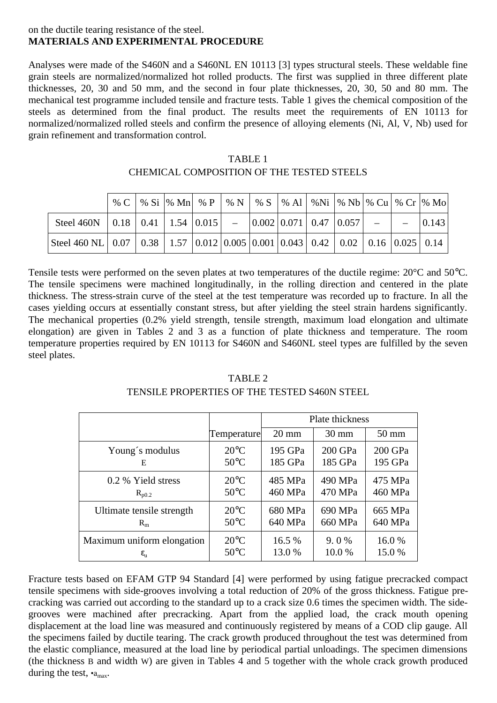#### on the ductile tearing resistance of the steel. **MATERIALS AND EXPERIMENTAL PROCEDURE**

Analyses were made of the S460N and a S460NL EN 10113 [3] types structural steels. These weldable fine grain steels are normalized/normalized hot rolled products. The first was supplied in three different plate thicknesses, 20, 30 and 50 mm, and the second in four plate thicknesses, 20, 30, 50 and 80 mm. The mechanical test programme included tensile and fracture tests. Table 1 gives the chemical composition of the steels as determined from the final product. The results meet the requirements of EN 10113 for normalized/normalized rolled steels and confirm the presence of alloying elements (Ni, Al, V, Nb) used for grain refinement and transformation control.

|                                                                                                       |  |  |  |  |  | % C   % Si   % Mn   % P   % N   % S   % Al   %Ni   % Nb   % Cu   % Cr   % Mo |       |
|-------------------------------------------------------------------------------------------------------|--|--|--|--|--|------------------------------------------------------------------------------|-------|
| Steel 460N   0.18   0.41   1.54   0.015   -   0.002   0.071   0.47   0.057   -   -                    |  |  |  |  |  |                                                                              | 0.143 |
| Steel 460 NL   0.07   0.38   1.57   0.012   0.005   0.001   0.043   0.42   0.02   0.16   0.025   0.14 |  |  |  |  |  |                                                                              |       |

| TABLE 1                                   |
|-------------------------------------------|
| CHEMICAL COMPOSITION OF THE TESTED STEELS |

Tensile tests were performed on the seven plates at two temperatures of the ductile regime: 20°C and 50°C. The tensile specimens were machined longitudinally, in the rolling direction and centered in the plate thickness. The stress-strain curve of the steel at the test temperature was recorded up to fracture. In all the cases yielding occurs at essentially constant stress, but after yielding the steel strain hardens significantly. The mechanical properties (0.2% yield strength, tensile strength, maximum load elongation and ultimate elongation) are given in Tables 2 and 3 as a function of plate thickness and temperature. The room temperature properties required by EN 10113 for S460N and S460NL steel types are fulfilled by the seven steel plates.

## TABLE 2 TENSILE PROPERTIES OF THE TESTED S460N STEEL

|                            |                | Plate thickness |                 |                 |  |
|----------------------------|----------------|-----------------|-----------------|-----------------|--|
|                            | Temperature    | $20 \text{ mm}$ | $30 \text{ mm}$ | $50 \text{ mm}$ |  |
| Young's modulus            | $20^{\circ}$ C | 195 GPa         | 200 GPa         | 200 GPa         |  |
| Е                          | $50^{\circ}$ C | 185 GPa         | 185 GPa         | 195 GPa         |  |
| 0.2 % Yield stress         | $20^{\circ}$ C | 485 MPa         | 490 MPa         | 475 MPa         |  |
| $R_{p0.2}$                 | $50^{\circ}$ C | 460 MPa         | 470 MPa         | 460 MPa         |  |
| Ultimate tensile strength  | $20^{\circ}$ C | 680 MPa         | 690 MPa         | 665 MPa         |  |
| $R_{m}$                    | $50^{\circ}$ C | 640 MPa         | 660 MPa         | 640 MPa         |  |
| Maximum uniform elongation | $20^{\circ}$ C | 16.5 %          | $9.0\%$         | 16.0%           |  |
| $\epsilon_{\rm u}$         | $50^{\circ}$ C | 13.0 %          | 10.0%           | 15.0 %          |  |

Fracture tests based on EFAM GTP 94 Standard [4] were performed by using fatigue precracked compact tensile specimens with side-grooves involving a total reduction of 20% of the gross thickness. Fatigue precracking was carried out according to the standard up to a crack size 0.6 times the specimen width. The sidegrooves were machined after precracking. Apart from the applied load, the crack mouth opening displacement at the load line was measured and continuously registered by means of a COD clip gauge. All the specimens failed by ductile tearing. The crack growth produced throughout the test was determined from the elastic compliance, measured at the load line by periodical partial unloadings. The specimen dimensions (the thickness B and width W) are given in Tables 4 and 5 together with the whole crack growth produced during the test,  $\cdot_{a_{\text{max}}}$ .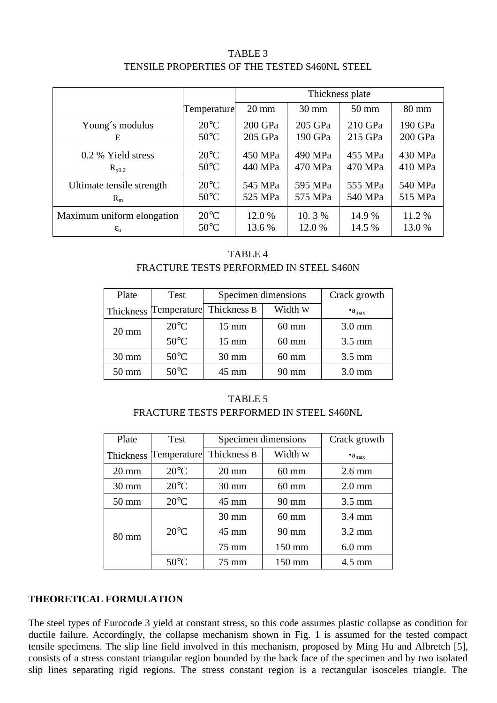## TABLE 3 TENSILE PROPERTIES OF THE TESTED S460NL STEEL

|                            |                | Thickness plate |                 |                 |                 |  |
|----------------------------|----------------|-----------------|-----------------|-----------------|-----------------|--|
|                            | Temperature    | $20 \text{ mm}$ | $30 \text{ mm}$ | $50 \text{ mm}$ | $80 \text{ mm}$ |  |
| Young's modulus            | $20^{\circ}$ C | 200 GPa         | 205 GPa         | 210 GPa         | 190 GPa         |  |
| E                          | $50^{\circ}$ C | 205 GPa         | 190 GPa         | 215 GPa         | 200 GPa         |  |
| 0.2 % Yield stress         | $20^{\circ}$ C | 450 MPa         | 490 MPa         | 455 MPa         | 430 MPa         |  |
| $R_{p0.2}$                 | $50^{\circ}$ C | 440 MPa         | 470 MPa         | 470 MPa         | 410 MPa         |  |
| Ultimate tensile strength  | $20^{\circ}$ C | 545 MPa         | 595 MPa         | 555 MPa         | 540 MPa         |  |
| $R_{m}$                    | $50^{\circ}$ C | 525 MPa         | 575 MPa         | 540 MPa         | 515 MPa         |  |
| Maximum uniform elongation | $20^{\circ}$ C | 12.0 %          | 10.3%           | 14.9 %          | 11.2 %          |  |
| $\epsilon_{\rm u}$         | $50^{\circ}$ C | 13.6 %          | 12.0 %          | 14.5 %          | 13.0 %          |  |

### TABLE 4 FRACTURE TESTS PERFORMED IN STEEL S460N

| Plate           | Test                  | Specimen dimensions | Crack growth    |                       |
|-----------------|-----------------------|---------------------|-----------------|-----------------------|
|                 | Thickness Temperature | Thickness B         | Width W         | $\bullet a_{\rm max}$ |
| $20 \text{ mm}$ | $20^{\circ}$ C        | $15 \text{ mm}$     | $60 \text{ mm}$ | $3.0 \text{ mm}$      |
|                 | $50^{\circ}$ C        | $15 \text{ mm}$     | $60 \text{ mm}$ | $3.5 \text{ mm}$      |
| $30 \text{ mm}$ | $50^{\circ}$ C        | $30 \text{ mm}$     | $60 \text{ mm}$ | $3.5 \text{ mm}$      |
| $50 \text{ mm}$ | $50^{\circ}$ C        | $45 \text{ mm}$     | 90 mm           | $3.0 \text{ mm}$      |

# TABLE 5 FRACTURE TESTS PERFORMED IN STEEL S460NL

| Plate           | <b>Test</b>    | Specimen dimensions    | Crack growth     |                   |
|-----------------|----------------|------------------------|------------------|-------------------|
| Thickness       | Temperature    | Width W<br>Thickness B |                  | $\bullet a_{max}$ |
| $20 \text{ mm}$ | $20^{\circ}$ C | $20 \text{ mm}$        | $60 \text{ mm}$  | $2.6 \text{ mm}$  |
| $30 \text{ mm}$ | $20^{\circ}$ C | $30 \text{ mm}$        | $60 \text{ mm}$  | $2.0 \text{ mm}$  |
| $50 \text{ mm}$ | $20^{\circ}$ C | $45 \text{ mm}$        | $90 \text{ mm}$  | $3.5 \text{ mm}$  |
|                 |                | $30 \text{ mm}$        | $60 \text{ mm}$  | $3.4 \text{ mm}$  |
| $80 \text{ mm}$ | $20^{\circ}$ C | $45 \text{ mm}$        | $90 \text{ mm}$  | $3.2 \text{ mm}$  |
|                 |                | $75 \text{ mm}$        | $150 \text{ mm}$ | $6.0$ mm          |
|                 | $50^{\circ}$ C | 75 mm                  | $150 \text{ mm}$ | $4.5 \text{ mm}$  |

## **THEORETICAL FORMULATION**

The steel types of Eurocode 3 yield at constant stress, so this code assumes plastic collapse as condition for ductile failure. Accordingly, the collapse mechanism shown in Fig. 1 is assumed for the tested compact tensile specimens. The slip line field involved in this mechanism, proposed by Ming Hu and Albretch [5], consists of a stress constant triangular region bounded by the back face of the specimen and by two isolated slip lines separating rigid regions. The stress constant region is a rectangular isosceles triangle. The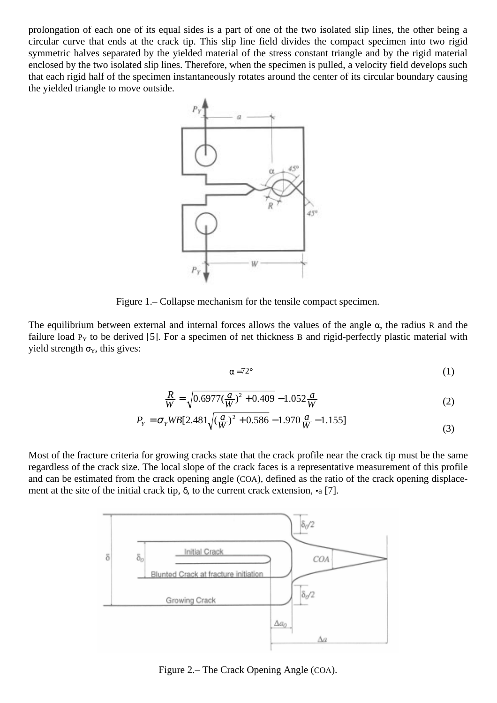prolongation of each one of its equal sides is a part of one of the two isolated slip lines, the other being a circular curve that ends at the crack tip. This slip line field divides the compact specimen into two rigid symmetric halves separated by the yielded material of the stress constant triangle and by the rigid material enclosed by the two isolated slip lines. Therefore, when the specimen is pulled, a velocity field develops such that each rigid half of the specimen instantaneously rotates around the center of its circular boundary causing the yielded triangle to move outside.



Figure 1.– Collapse mechanism for the tensile compact specimen.

The equilibrium between external and internal forces allows the values of the angle  $\alpha$ , the radius R and the failure load  $P<sub>Y</sub>$  to be derived [5]. For a specimen of net thickness B and rigid-perfectly plastic material with yield strength  $\sigma_Y$ , this gives:

$$
\alpha = 72^{\circ} \tag{1}
$$

$$
\frac{R}{W} = \sqrt{0.6977(\frac{a}{W})^2 + 0.409} - 1.052\frac{a}{W}
$$
\n(2)

$$
P_Y = \sigma_Y WB[2.481\sqrt{\left(\frac{a}{W}\right)^2 + 0.586} - 1.970\frac{a}{W} - 1.155]
$$
\n(3)

Most of the fracture criteria for growing cracks state that the crack profile near the crack tip must be the same regardless of the crack size. The local slope of the crack faces is a representative measurement of this profile and can be estimated from the crack opening angle (COA), defined as the ratio of the crack opening displacement at the site of the initial crack tip,  $\delta$ , to the current crack extension, •a [7].



Figure 2.– The Crack Opening Angle (COA).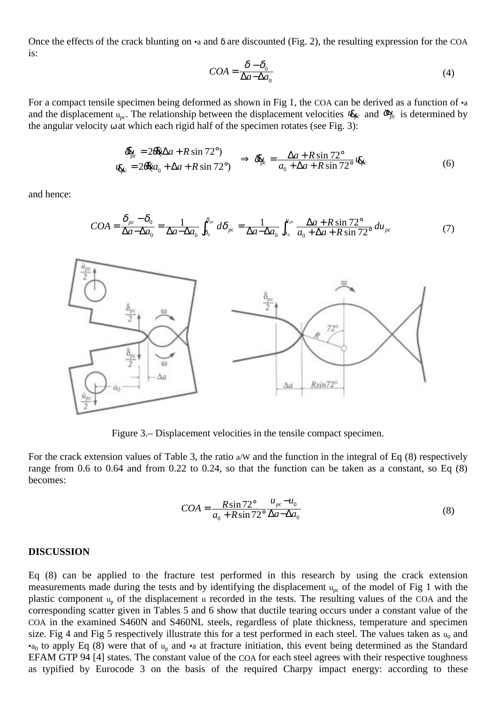Once the effects of the crack blunting on •a and δ are discounted (Fig. 2), the resulting expression for the COA is:

$$
COA = \frac{\delta - \delta_0}{\Delta a - \Delta a_0} \tag{4}
$$

For a compact tensile specimen being deformed as shown in Fig 1, the COA can be derived as a function of •a and the displacement  $u_{nc}$ . The relationship between the displacement velocities  $u_{bc}$  and  $\alpha_{bc}^{c}$  is determined by the angular velocity  $\omega$  at which each rigid half of the specimen rotates (see Fig. 3):

$$
\frac{\partial \mathbf{g}_c}{\partial \mathbf{g}_c} = 2\theta \mathbf{\mathbf{g}} \Delta a + R \sin 72^\circ \left\{ \Rightarrow \partial \mathbf{g}_c = \frac{\Delta a + R \sin 72^\circ}{a_0 + \Delta a + R \sin 72^\circ} \mathbf{g}_c \right\} \tag{6}
$$

and hence:

$$
COA = \frac{\delta_{pc} - \delta_0}{\Delta a - \Delta a_0} = \frac{1}{\Delta a - \Delta a_0} \int_{\delta_0}^{\delta_{pc}} d\delta_{pc} = \frac{1}{\Delta a - \Delta a_0} \int_{u_0}^{u_{pc}} \frac{\Delta a + R \sin 72^\circ}{a_0 + \Delta a + R \sin 72^\circ} du_{pc}
$$
(7)



Figure 3.– Displacement velocities in the tensile compact specimen.

For the crack extension values of Table 3, the ratio a/W and the function in the integral of Eq (8) respectively range from 0.6 to 0.64 and from 0.22 to 0.24, so that the function can be taken as a constant, so Eq (8) becomes:

$$
COA = \frac{R\sin 72^{\circ}}{a_0 + R\sin 72^{\circ}} \frac{u_{pc} - u_0}{\Delta a - \Delta a_0}
$$
(8)

#### **DISCUSSION**

Eq (8) can be applied to the fracture test performed in this research by using the crack extension measurements made during the tests and by identifying the displacement  $u_{pc}$  of the model of Fig 1 with the plastic component  $u_p$  of the displacement u recorded in the tests. The resulting values of the COA and the corresponding scatter given in Tables 5 and 6 show that ductile tearing occurs under a constant value of the COA in the examined S460N and S460NL steels, regardless of plate thickness, temperature and specimen size. Fig 4 and Fig 5 respectively illustrate this for a test performed in each steel. The values taken as  $u_0$  and •a<sub>0</sub> to apply Eq (8) were that of  $u_p$  and •a at fracture initiation, this event being determined as the Standard EFAM GTP 94 [4] states. The constant value of the COA for each steel agrees with their respective toughness as typified by Eurocode 3 on the basis of the required Charpy impact energy: according to these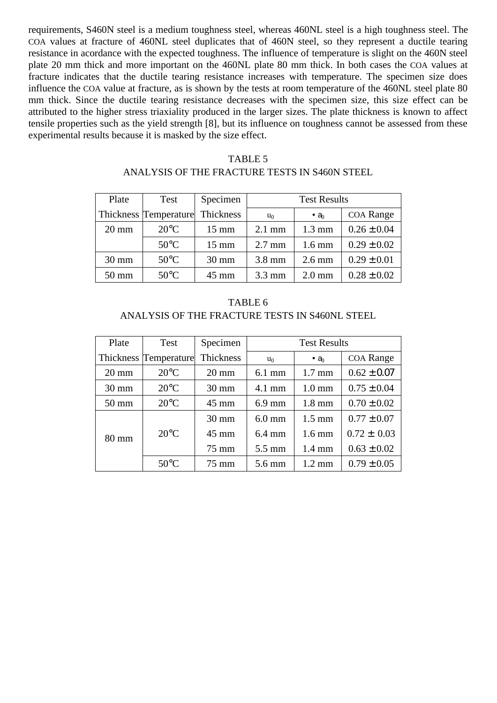requirements, S460N steel is a medium toughness steel, whereas 460NL steel is a high toughness steel. The COA values at fracture of 460NL steel duplicates that of 460N steel, so they represent a ductile tearing resistance in acordance with the expected toughness. The influence of temperature is slight on the 460N steel plate 20 mm thick and more important on the 460NL plate 80 mm thick. In both cases the COA values at fracture indicates that the ductile tearing resistance increases with temperature. The specimen size does influence the COA value at fracture, as is shown by the tests at room temperature of the 460NL steel plate 80 mm thick. Since the ductile tearing resistance decreases with the specimen size, this size effect can be attributed to the higher stress triaxiality produced in the larger sizes. The plate thickness is known to affect tensile properties such as the yield strength [8], but its influence on toughness cannot be assessed from these experimental results because it is masked by the size effect.

| Plate           | Test                         | Specimen        | <b>Test Results</b> |                          |                 |
|-----------------|------------------------------|-----------------|---------------------|--------------------------|-----------------|
|                 | <b>Thickness Temperature</b> | Thickness       | $u_0$               | $\bullet$ a <sub>0</sub> | COA Range       |
| $20 \text{ mm}$ | $20^{\circ}$ C               | $15 \text{ mm}$ | $2.1 \text{ mm}$    | $1.3 \text{ mm}$         | $0.26 \pm 0.04$ |
|                 | $50^{\circ}$ C               | $15 \text{ mm}$ | $2.7 \text{ mm}$    | $1.6 \text{ mm}$         | $0.29 \pm 0.02$ |
| $30 \text{ mm}$ | $50^{\circ}$ C               | $30 \text{ mm}$ | $3.8 \text{ mm}$    | $2.6 \text{ mm}$         | $0.29 \pm 0.01$ |
| $50 \text{ mm}$ | $50^{\circ}$ C               | $45 \text{ mm}$ | $3.3 \text{ mm}$    | $2.0 \text{ mm}$         | $0.28 \pm 0.02$ |

## TABLE 5 ANALYSIS OF THE FRACTURE TESTS IN S460N STEEL

TABLE 6 ANALYSIS OF THE FRACTURE TESTS IN S460NL STEEL

| Plate           | Test                  | Specimen         | <b>Test Results</b> |                          |                 |
|-----------------|-----------------------|------------------|---------------------|--------------------------|-----------------|
|                 | Thickness Temperature | <b>Thickness</b> | $u_0$               | $\bullet$ a <sub>0</sub> | COA Range       |
| $20 \text{ mm}$ | $20^{\circ}$ C        | $20 \text{ mm}$  | $6.1 \text{ mm}$    | $1.7 \text{ mm}$         | $0.62 \pm 0.07$ |
| $30 \text{ mm}$ | $20^{\circ}$ C        | $30 \text{ mm}$  | $4.1 \text{ mm}$    | $1.0 \text{ mm}$         | $0.75 \pm 0.04$ |
| $50 \text{ mm}$ | $20^{\circ}$ C        | $45 \text{ mm}$  | $6.9$ mm            | $1.8 \text{ mm}$         | $0.70 \pm 0.02$ |
|                 |                       | $30 \text{ mm}$  | $6.0$ mm            | $1.5 \text{ mm}$         | $0.77 \pm 0.07$ |
| $80 \text{ mm}$ | $20^{\circ}$ C        | $45 \text{ mm}$  | $6.4 \text{ mm}$    | $1.6 \text{ mm}$         | $0.72 \pm 0.03$ |
|                 |                       | 75 mm            | $5.5 \text{ mm}$    | $1.4 \text{ mm}$         | $0.63 \pm 0.02$ |
|                 | $50^{\circ}$ C        | $75 \text{ mm}$  | 5.6 mm              | $1.2 \text{ mm}$         | $0.79 \pm 0.05$ |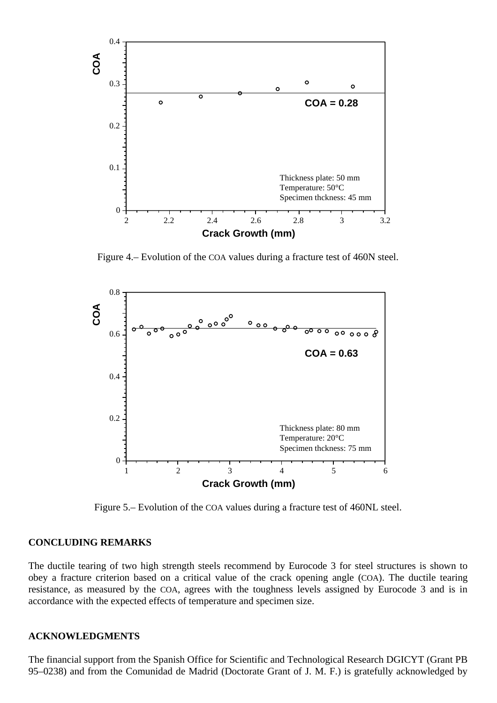

Figure 4.– Evolution of the COA values during a fracture test of 460N steel.



Figure 5.– Evolution of the COA values during a fracture test of 460NL steel.

#### **CONCLUDING REMARKS**

The ductile tearing of two high strength steels recommend by Eurocode 3 for steel structures is shown to obey a fracture criterion based on a critical value of the crack opening angle (COA). The ductile tearing resistance, as measured by the COA, agrees with the toughness levels assigned by Eurocode 3 and is in accordance with the expected effects of temperature and specimen size.

#### **ACKNOWLEDGMENTS**

The financial support from the Spanish Office for Scientific and Technological Research DGICYT (Grant PB 95–0238) and from the Comunidad de Madrid (Doctorate Grant of J. M. F.) is gratefully acknowledged by